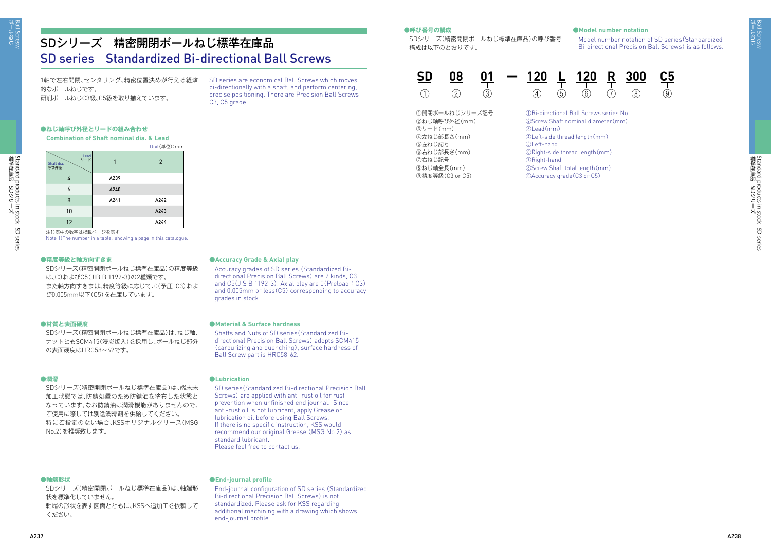ボールねじ Ball Scresw

Standard products in stock SD series<br>標準在庫品 SDシリーズ 標準在庫品 SDシリーズ Standard products in stock SD series

標準在庫品 SDシリーズ

Standard products in stock<br>標準在庫品 SDシリーズ

Standard products in stock SD series

SD series

# SDシリーズ 精密開閉ボールねじ標準在庫品 SD series Standardized Bi-directional Ball Screws

1軸で左右開閉、センタリング、精密位置決めが行える経済 的なボールねじです。 研削ボールねじC3級、C5級を取り揃えています。

SD series are economical Ball Screws which moves bi-directionally with a shaft, and perform centering, precise positioning. There are Precision Ball Screws C3, C5 grade.

# **●ねじ軸呼び外径とリードの組み合わせ**

SDシリーズ(精密開閉ボールねじ標準在庫品)の精度等級 は、C3およびC5(JIB B 1192-3)の2種類です。 また軸方向すきまは、精度等級に応じて、0(予圧:C3)およ び0.005mm以下(C5)を在庫しています。

SDシリーズ(精密開閉ボールねじ標準在庫品)の呼び番号 構成は以下のとおりです。



Shafts and Nuts of SD series(Standardized Bidirectional Precision Ball Screws) adopts SCM415 (carburizing and quenching), surface hardness of Ball Screw part is HRC58-62.

### **●材質と表面硬度**

SDシリーズ(精密開閉ボールねじ標準在庫品)は、ねじ軸、 ナットともSCM415(浸炭焼入)を採用し、ボールねじ部分 の表面硬度はHRC58~62です。

### **●潤滑**

SDシリーズ(精密開閉ボールねじ標準在庫品)は、端末未 加工状態では、防錆処置のため防錆油を塗布した状態と なっています。なお防錆油は潤滑機能がありませんので、 ご使用に際しては別途潤滑剤を供給してください。 特にご指定のない場合、KSSオリジナルグリース(MSG No.2)を推奨致します。

#### **●軸端形状**

SDシリーズ(精密開閉ボールねじ標準在庫品)は、軸端形 状を標準化していません。 軸端の形状を表す図面とともに、KSSへ追加工を依頼して ください。

### **●Accuracy Grade & Axial play**

Accuracy grades of SD series (Standardized Bidirectional Precision Ball Screws) are 2 kinds, C3 and C5(JIS B 1192-3). Axial play are 0(Preload : C3) and 0.005mm or less(C5) corresponding to accuracy grades in stock.



## **●Model number notation**

Model number notation of SD series(Standardized Bi-directional Precision Ball Screws) is as follows.

### **●Material & Surface hardness**

**Combination of Shaft nominal dia. & Lead** Unit(単位):mm

#### **●Lubrication**

SD series(Standardized Bi-directional Precision Ball Screws) are applied with anti-rust oil for rust prevention when unfinished end journal. Since anti-rust oil is not lubricant, apply Grease or lubrication oil before using Ball Screws. If there is no specific instruction, KSS would recommend our original Grease (MSG No.2) as standard lubricant. Please feel free to contact us.

### **●End-journal profile**

End-journal configuration of SD series (Standardized Bi-directional Precision Ball Screws) is not standardized. Please ask for KSS regarding additional machining with a drawing which shows end-journal profile.

#### **●呼び番号の構成**

注1)表中の数字は掲載ページを表す

Note 1)The number in a table: showing a page in this catalogue.

#### **●精度等級と軸方向すきま**

| Lead<br>リード<br>Shaft dia.<br>呼び外径 |      | $\overline{2}$ |
|-----------------------------------|------|----------------|
| 4                                 | A239 |                |
| 6                                 | A240 |                |
| 8                                 | A241 | A242           |
| 10                                |      | A243           |
| 12                                |      | A244           |

①開閉ボールねじシリーズ記号 ②ねじ軸呼び外径(mm) ③リード(mm) ④左ねじ部長さ(mm) ⑤左ねじ記号 ⑥右ねじ部長さ(mm) ⑦右ねじ記号 ⑧ねじ軸全長(mm) ⑨精度等級(C3 or C5)

Bi-directional Ball Screws series No. Screw Shaft nominal diameter(mm) ③Lead(mm) Left-side thread length(mm) ⑤Left-hand Right-side thread length(mm) Right-hand Screw Shaft total length(mm) Accuracy grade(C3 or C5)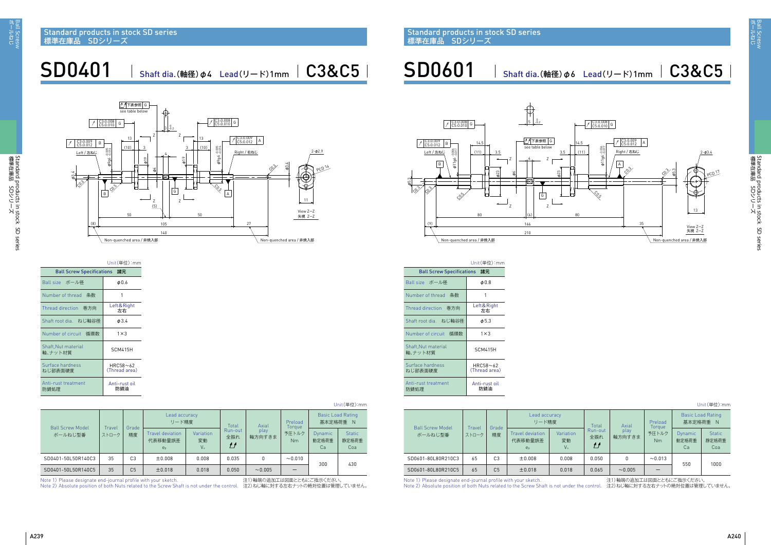SD0601 Shaft dia.(軸径) Φ6 Lead(リード)1mm | C3&C5

| Unit (単位) .mm                      |                 |                |                                        |                                          |                      |                |                   |                                      |                               |  |
|------------------------------------|-----------------|----------------|----------------------------------------|------------------------------------------|----------------------|----------------|-------------------|--------------------------------------|-------------------------------|--|
| <b>Ball Screw Model</b><br>ボールねじ型番 |                 | Grade<br>精度    | Lead accuracy<br>リード精度                 |                                          | Total                | Axial          | Preload<br>Torgue | <b>Basic Load Rating</b><br>基本定格荷重 N |                               |  |
|                                    | Travel<br>ストローク |                | Travel deviation<br>代表移動量誤差<br>$e_{p}$ | <b>Variation</b><br>変動<br>V <sub>u</sub> | Run-out<br>全振れ<br>IJ | play<br>軸方向すきま | 予圧トルク<br>Nm       | Dynamic<br>動定格荷重<br>Ca               | <b>Static</b><br>静定格荷重<br>Coa |  |
| SD0401-50L50R140C3                 | 35              | C <sub>3</sub> | ±0.008                                 | 0.008                                    | 0.035                | 0              | ~10.010           | 300                                  | 430                           |  |
| SD0401-50L50R140C5                 | 35              | C <sub>5</sub> | ±0.018                                 | 0.018                                    | 0.050                | ~10.005        |                   |                                      |                               |  |
|                                    |                 |                |                                        |                                          |                      |                |                   |                                      |                               |  |

Note 1) Please designate end-journal profile with your sketch. 注1)軸端の追加工は図面とともにご指示ください。

Note 2) Absolute position of both Nuts related to the Screw Shaft is not under the control. 注2)ねじ軸に対する左右ナットの絶対位置は管理していません。

|                                | Unit(単位):mm               |
|--------------------------------|---------------------------|
| Ball Screw Specifications 諸元   |                           |
| Ball size ボール径                 | $\phi$ 0.6                |
| Number of thread 条数            | 1                         |
| Thread direction   巻方向         | Left&Right<br>左右          |
| Shaft root dia. ねじ軸谷径          | $\phi$ 3.4                |
| Number of circuit 循環数          | $1 \times 3$              |
| Shaft, Nut material<br>軸、ナット材質 | SCM415H                   |
| Surface hardness<br>ねじ部表面硬度    | HRC58~62<br>(Thread area) |
| Anti-rust treatment<br>防錆処理    | Anti-rust oil<br>防錆油      |





SD0401 | Shaft dia.(軸径) ø4 Lead(リード)1mm | C3&C5 |

unit<sub>u</sub>

|--|

| <b>Ball Screw Model</b><br>ボールねじ型番 | Grade<br>Travel<br>精度<br>ストローク |                | Lead accuracy<br>リード精度                        | Total                 |                      | Axial          |                       | <b>Basic Load Rating</b><br>基本定格荷重 N |                               |
|------------------------------------|--------------------------------|----------------|-----------------------------------------------|-----------------------|----------------------|----------------|-----------------------|--------------------------------------|-------------------------------|
|                                    |                                |                | <b>Travel deviation</b><br>代表移動量誤差<br>$e_{p}$ | Variation<br>変動<br>Vu | Run-out<br>全振れ<br>IJ | play<br>軸方向すきま | Toraue<br>予圧トルク<br>Nm | <b>Dynamic</b><br>動定格荷重<br>Ca        | <b>Static</b><br>静定格荷重<br>Coa |
| SD0601-80L80R210C3                 | 65                             | C <sub>3</sub> | ±0.008                                        | 0.008                 | 0.050                | 0              | ~10.013               | 550                                  |                               |
| SD0601-80L80R210C5                 | 65                             | C <sub>5</sub> | ±0.018                                        | 0.018                 | 0.065                | ~10.005        |                       |                                      | 1000                          |

Note 1) Please designate end-journal profile with your sketch. インタン される および 注1)軸端の追加工は図面とともにご指示ください。

Note 2) Absolute position of both Nuts related to the Screw Shaft is not under the control. 注2)ねじ軸に対する左右ナットの絶対位置は管理していません。

|                               | Unit(単位):mm               |
|-------------------------------|---------------------------|
| Ball Screw Specifications 諸元  |                           |
| Ball size ボール径                | $\phi$ 0.8                |
| Number of thread 条数           | 1                         |
| Thread direction   巻方向        | Left & Right<br>左右        |
| Shaft root dia. ねじ軸谷径         | $\phi$ 5.3                |
| Number of circuit 循環数         | $1 \times 3$              |
| Shaft,Nut material<br>軸、ナット材質 | SCM415H                   |
| Surface hardness<br>ねじ部表面硬度   | HRC58~62<br>(Thread area) |
| Anti-rust treatment<br>防錆処理   | Anti-rust oil<br>防錆油      |

Standard products in stock SD series 標準在庫品 SDシリーズ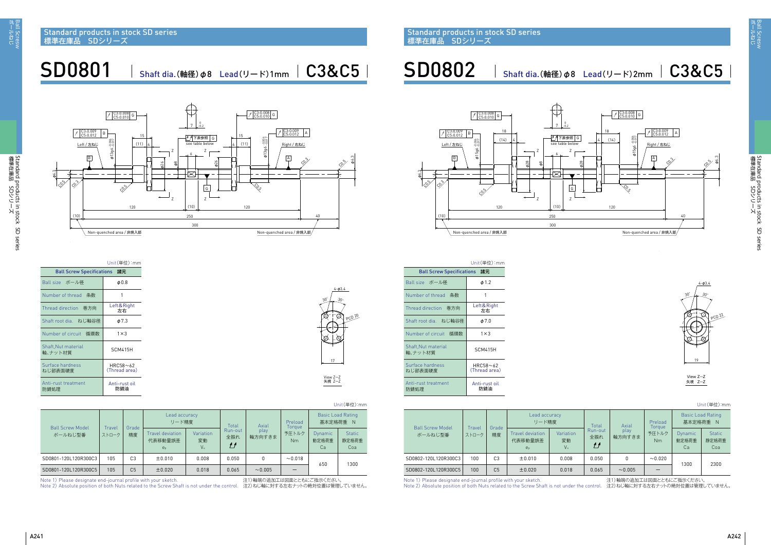標準在庫品 SDシリーズ

 $\overline{\phantom{a}}$ 

 $\sim$ 

Standard products in stock SD series



Standard products in stock(SD series<br>標準在庫品 SDシリーズ 標準在庫品 SDシリーズ Standard products in stock SD series

Unit(単位):mm

| <b>Ball Screw Model</b><br>ボールねじ型番                                |                 | Lead accuracy.<br>リード精度 |                                               | Total                 |                                 | Axial                     |                                   | <b>Basic Load Rating</b><br>基本定格荷重 N |                               |  |  |
|-------------------------------------------------------------------|-----------------|-------------------------|-----------------------------------------------|-----------------------|---------------------------------|---------------------------|-----------------------------------|--------------------------------------|-------------------------------|--|--|
|                                                                   | Travel<br>ストローク | Grade<br>精度             | Travel deviation<br>代表移動量誤差<br>e <sub>p</sub> | Variation<br>変動<br>Vu | Run-out<br>全振れ<br>$\mathcal{L}$ | play<br>軸方向すきま            | Toraue<br>予圧トルク<br>N <sub>m</sub> | <b>Dynamic</b><br>動定格荷重<br>Cа        | <b>Static</b><br>静定格荷重<br>Coa |  |  |
| SD0801-120L120R300C3                                              | 105             | C <sub>3</sub>          | ±0.010                                        | 0.008                 | 0.050                           |                           | ~10.018                           |                                      |                               |  |  |
| SD0801-120L120R300C5                                              | 105             | C <sub>5</sub>          | ±0.020                                        | 0.018                 | 0.065                           | ~10.005                   |                                   | 650                                  | 1300                          |  |  |
| Note 1) Disease decision to end journal profile with your clusteb |                 |                         |                                               |                       |                                 | 注1) 詰農の迫却工圧网面レレナビデザビニノゼイい |                                   |                                      |                               |  |  |

Note 1) Please designate end-journal profile with your sketch. <br>
21)軸端の追加工は図面とともにご指示ください

Note 2) Absolute position of both Nuts related to the Screw Shaft is not under the control. 注2)ねじ軸に対する左右ナットの絶対位置は管理していません。

SD0801 | Shaft dia.(軸径) ø8 Lead(リード)1mm | C3&C5 |

Unit(単位):mm

| <b>Ball Screw Model</b><br>ボールねじ型番                                                               |                  |                                                                                                                                                             |                                                      | Lead accuracy<br>リード精度 |                                          | Axial          | Preload<br>Torgue       | <b>Basic Load Rating</b><br>基本定格荷重 N |                               |
|--------------------------------------------------------------------------------------------------|------------------|-------------------------------------------------------------------------------------------------------------------------------------------------------------|------------------------------------------------------|------------------------|------------------------------------------|----------------|-------------------------|--------------------------------------|-------------------------------|
|                                                                                                  | Travel<br>ストローク  | Grade<br>精度                                                                                                                                                 | <b>Travel deviation</b><br>代表移動量誤差<br>e <sub>p</sub> | Variation<br>変動<br>Vu  | Total<br>Run-out<br>全振れ<br>$\mathcal{L}$ | play<br>軸方向すきま | 予圧トルク<br>N <sub>m</sub> | Dynamic<br>動定格荷重<br>Cа               | <b>Static</b><br>静定格荷重<br>Coa |
| SD0802-120L120R300C3                                                                             | 100              | C <sub>3</sub>                                                                                                                                              | ±0.010                                               | 0.008                  | 0.050                                    |                | ~10.020                 | 1300                                 | 2300                          |
| SD0802-120L120R300C5                                                                             | 100 <sub>1</sub> | C <sub>5</sub>                                                                                                                                              | ±0.020                                               | 0.018                  | 0.065                                    | ~10.005        |                         |                                      |                               |
| and the season of the season of the season of<br>the contract of the contract of the contract of |                  | <b>Contact Contact Contact Contact Contact Contact Contact Contact Contact Contact Contact Contact Contact Contact</b><br>the company's company's company's | .                                                    |                        |                                          |                |                         |                                      |                               |

Note 1) Please designate end-journal profile with your sketch. インタン さい は1)軸端の追加工は図面とともにご指示ください。

Note 2) Absolute position of both Nuts related to the Screw Shaft is not under the control. 注2)ねじ軸に対する左右ナットの絶対位置は管理していません。

|                                     | Unit(単位):mm               |
|-------------------------------------|---------------------------|
| <b>Ball Screw Specifications 諸元</b> |                           |
| Ball size ボール径                      | $\phi$ 0.8                |
| Number of thread 条数                 |                           |
| Thread direction 巻方向                | Left&Right<br>左右          |
| Shaft root dia. ねじ軸谷径               | $\phi$ 7.3                |
| Number of circuit 循環数               | $1 \times 3$              |
| Shaft, Nut material<br>軸、ナット材質      | <b>SCM415H</b>            |
| Surface hardness<br>ねじ部表面硬度         | HRC58~62<br>(Thread area) |
| Anti-rust treatment<br>防錆処理         | Anti-rust oil<br>防錆油      |

Standard products in stock SD series 標準在庫品 SDシリーズ

 $SDO802$  Shaft dia.(軸径)  $\varphi$ 8 Lead(リード)2mm |  $C3&C5$ 



|                                     | Unit(単位):mm               |
|-------------------------------------|---------------------------|
| <b>Ball Screw Specifications 諸元</b> |                           |
| Ball size ボール径                      | $\phi$ 1.2                |
| Number of thread 条数                 |                           |
| Thread direction 卷方向                | Left&Right<br>左右          |
| Shaft root dia. ねじ軸谷径               | $\phi$ 7.0                |
| Number of circuit 循環数               | $1 \times 3$              |
| Shaft, Nut material<br>軸、ナット材質      | <b>SCM415H</b>            |
| Surface hardness<br>ねじ部表面硬度         | HRC58~62<br>(Thread area) |
| Anti-rust treatment<br>防錆処理         | Anti-rust oil<br>防錆油      |

| $4 - 03.4$<br>$30^\circ$<br>$30^{\circ}$<br><b>PCD 20</b> |
|-----------------------------------------------------------|
|                                                           |
| 17                                                        |
| View Z-Z<br>矢視 Z-Z                                        |



30° 30°



View 矢視 Z-Z Z-Z